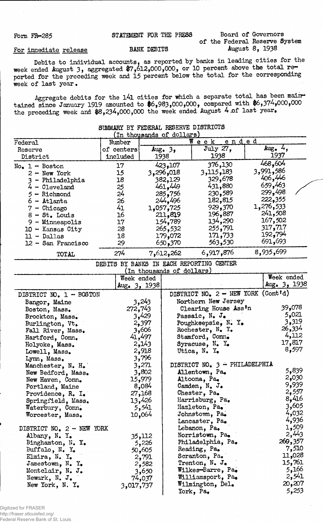## For immediate release Form FR-285 STATEMENT FOR THE PRESS Board of Governors of the Federal Reserve System BANK DEBITS August 8, 1938

Debits to individual accounts, as reported by banks in leading cities for the week ended August 3, aggregated \$7,612,000,000, or 10 percent above the total reported for the preceding week and 15 percent below the total for the corresponding week of last year •

Aggregate debits for the 141 cities for which a separate total has been main. tained since January 1919 amounted to #6,983,000,000, compared with \$6,374,000,000 the preceding week and  $$8,234,000,000$  the week ended August 4 of last year.

| Federal             | Number     |           | ended<br>$W$ e e k $-$ |           |  |
|---------------------|------------|-----------|------------------------|-----------|--|
| Reserve             | of centers | Aug. $32$ | July 27.               | $Aug_4$ , |  |
| District            | included   | 1938      | 1938                   | 1937      |  |
| $No. 1 - Boston$    | 17         | 423,107   | 376,130                | 468,604   |  |
| $2 - New York$      | 15         | 3,296,018 | 3,115,183              | 3,991,586 |  |
| - Philadelphia      | 18         | 382,129   | 329,678                | 406,446   |  |
| $4 -$ Cleveland     | 25         | 461,449   | 431,880                | 659,463   |  |
| $5$ - Richmond      | 24         | 285,756   | 230,589                | 299,498   |  |
| $6$ - Atlanta       | 26         | 244,496   | 182,815                | 222,355   |  |
| - Chicago           | 41         | 1,057,725 | 929,370                | 1,276,533 |  |
| $8 - St.$ Louis     | 16         | 211,819   | 196,887                | 241,508   |  |
| - Minneapolis<br>9. | 17         | 154,789   | 134,290                | 167,502   |  |
| $10 -$ Kansas City  | 28         | 265,532   | 255,791                | 317,717   |  |
| $11 - D$ allas      | 18         | 179,072   | 171,733                | 192,794   |  |
| 12 - San Francisco  | 29         | 650,370   | 563,530                | 691,693   |  |
| <b>TOTAL</b>        | 274        | 7,612,262 | 6,917,876              | 8,935,699 |  |

## SUMMARY BY FEDERAL RESERVE DISTRICTS

|                           |                 | (in thousands of do <u>llars)</u>    |                |
|---------------------------|-----------------|--------------------------------------|----------------|
|                           | Week ended      |                                      | Week ended     |
|                           | $Aug_• 3, 1938$ |                                      | Aug. $3, 1938$ |
| DISTRICT NO. 1 - BOSTON   |                 | DISTRICT NO. $2$ - NEW YORK (Cont'd) |                |
| Bangor, Maine             | 3,243           | Northern New Jersey                  |                |
| Boston, Mass.             | 272,743         | Clearing House Ass'n                 | 39,078         |
| Brockton, Mass.           | 3,429           | Passaic, N. J.                       | 5,021          |
| Burlington, Vt.           | 2,397           | Poughkeepsie, N. Y.                  | 3,319          |
| Fall River, Mass.         | 3,606           | Rochester, $N_e$ $Y_e$               | 26,334         |
| Hartford, Conn.           | 41,497          | Stamford, Conn.                      | 4,112          |
| Holyoke, Mass.            | 2,143           | Syracuse, $N_e$ $Y_e$                | 17,817         |
| Lowell, Mass.             | 2,918           | Utica, N. Y.                         | 8,597          |
| Lynn, Mass.               | 3,796           |                                      |                |
| Manchester, N. H.         | 3,271           | DISTRICT NO. 3 - PHILADELPHIA        |                |
| New Bedford, Mass.        | 3,802           | Allentown, Pa.                       | 5,839          |
| New Haven, Conn.          | 15,979          | Altoona, Pa.                         | 2,030          |
| Portland, Maine           | 8,084           | Camden, $N_e$ J.                     | 9,939          |
| Providence, R. I.         | 27,168          | Chester, Pa.                         | 2,557          |
| Springfield, Mass.        | 13,426          | Harrisburg, Pa.                      | 8,416          |
| Waterbury, Conn.          | 5,541           | Hazleton, Pa.                        | 3,605          |
| Worcester, Mass.          | 10,064          | Johnstown, Pa.                       | 4,032          |
|                           |                 | Lancaster, Pa.                       | 4,936          |
| DISTRICT NO. 2 - NEW YORK |                 | Lebanon, Pa.                         | 1,509          |
| Albany, N. Y.             | 35,112          | Norristown, Pa.                      | 2,443          |
| Binghamton, N. Y.         | 5,226           | Philadelphia, Pa.                    | 269,357        |
| Buffalo, $N_{\bullet}$ Y. | 50,605          | Reading, Pa.                         | 7,510          |
| Elmira, N. Y.             | 2,791           | Scranton, Pa.                        | 11,028         |
| Jamestown, N. Y.          | 2,582           | Trenton, $N_{\bullet}$ J.            | 15,761         |
| Montclair, N. J.          | 3,650           | Wilkes-Barre, Pa.                    | 5,166          |
| Newark, N. J.             | 74,037          | Williamsport, Pa.                    | 2,541          |
| New York, N.Y.            | 3,017,737       | Wilmington, Del.                     | 20,207         |
|                           |                 | York, Pa.                            | 5,253          |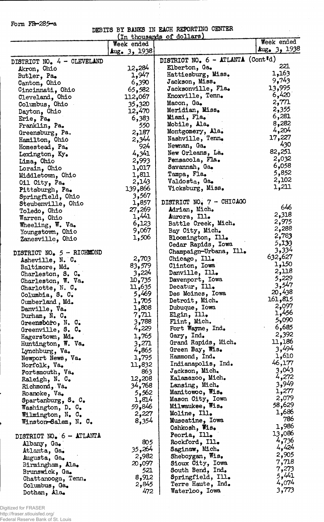Form FR-285-a

## DEBITS BY BANKS IN EACH REPORTING CENTER

÷<br>+

| (In thousands of dollars)    |                |                                                |                |  |  |  |
|------------------------------|----------------|------------------------------------------------|----------------|--|--|--|
|                              | Week ended     |                                                | Week ended     |  |  |  |
|                              | Aug. $3, 1938$ |                                                | Aug. $3, 1938$ |  |  |  |
| DISTRICT NO. $4 -$ CLEVELAND |                | DISTRICT NO. 6 - ATLANTA (Cont <sup>r</sup> d) |                |  |  |  |
| Akron, Ohio                  | 12,284         | Elberton, Ga.                                  | 221            |  |  |  |
|                              | 1,947          | Hattiesburg, Miss.                             | 1,163          |  |  |  |
| Butler, Pa.                  | 6,390          | Jackson, Miss.                                 | 9,743          |  |  |  |
| Canton, Ohio                 |                | Jacksonville, Fla.                             | 13,995         |  |  |  |
| Cincinnati, Ohio             | 65,582         | Knoxville, Tenn.                               | 6,420          |  |  |  |
| Cleveland, Ohio              | 112,067        | Macon, Ga.                                     | 2,771          |  |  |  |
| Columbus, Ohio               | 35,320         | Meridian, Miss.                                | 2,355          |  |  |  |
| Dayton, Ohio                 | 12,470         | Miami, Fla.                                    | 6,281          |  |  |  |
| Erie, Pa.                    | 6,383          | Mobile, Ala.                                   | 8,282          |  |  |  |
| Franklin, Pa.                | 550            |                                                | 4,204          |  |  |  |
| Greensburg, Pa.              | 2,187          | Montgomery, Ala.                               | 17,227         |  |  |  |
| Hamilton, Ohio               | 2,344          | Nashville, Tenn.                               | 430            |  |  |  |
| Homestead, Pa.               | 924            | Newnan, Ga.                                    | 82,251         |  |  |  |
| Lexington, Ky.               | 4,341          | New Orleans, La.                               |                |  |  |  |
| Lima, Ohio                   | 2,993          | Pensacola, Fla.                                | 2,032          |  |  |  |
| Lorain, Ohio                 | 1,017          | Savannah, Ga.                                  | 6,058          |  |  |  |
| Middletown, Ohio             | 1,811          | Tampa, Fla.                                    | 5,852          |  |  |  |
| Oil City, Pa.                | 2,143          | Valdosta, Ga.                                  | 2,102          |  |  |  |
| Pittsburgh, Pa.              | 139,866        | Vicksburg, Miss.                               | 1,211          |  |  |  |
| Springfield, Ohio            | 3,567          |                                                |                |  |  |  |
| Steubenville, Ohio           | 1,857          | DISTRICT NO. 7 - CHICAGO                       |                |  |  |  |
| Toledo, Ohio                 | 27,269         | Adrian, Mich.                                  | 646            |  |  |  |
| Warren, Ohio                 | 1,441          | Aurora, Ill.                                   | 2,318          |  |  |  |
| Wheeling, W. Va.             | 6,123          | Battle Creek, Mich.                            | 2,975          |  |  |  |
| Youngstown, Ohio             | 9,067          | Bay City, Mich.                                | 2,288          |  |  |  |
| Zanesville, Ohio             | 1,506          | Bloomington, Ill.                              | 2,783          |  |  |  |
|                              |                | Cedar Rapids, Iowa                             | 5,133          |  |  |  |
| DISTRICT NO. 5 - RICHMOND    |                | Champaign-Urbana, Ill.                         | 3,334          |  |  |  |
| Asheville, N. C.             | 2,703          | Chicago, Ill.                                  | 632,627        |  |  |  |
| Baltimore, Md.               | 83,579         | Clinton, Iowa                                  | 1,150          |  |  |  |
| Charleston, S. C.            | 3,224          | Danville, Ill.                                 | 2,118          |  |  |  |
| Charleston, W. Va.           | 10,735         | Davenport, Iowa                                | 5,229          |  |  |  |
| Charlotte, $N. C.$           | 11,635         | Decatur, Ill.                                  | 3,547          |  |  |  |
| Columbia, S. C.              | 5,469          | Des Moines. Iowa                               | 20,438         |  |  |  |
| Cumberland, Md.              | 1,705          | Detroit, Mich.                                 | 161,815        |  |  |  |
| Danville, Va.                | 1,808          | Dubuque, Iowa                                  | 2,097          |  |  |  |
| Durham, $N_e$ . $C_e$        | 7,71           | $E1gin,$ Ill.                                  | 1,456          |  |  |  |
| Greensboro, N. C.            | 3,788          | Flint, Mich.                                   | 5,090          |  |  |  |
| Greenville, S. C.            | 4,229          | Fort Wayne, Ind.                               | 6,685          |  |  |  |
| Hagerstown, Md.              | 1,765          | Gary, Ind.                                     | 2,392          |  |  |  |
| Huntington, W. Va.           | 3,271          | Grand Rapids, Mich.                            | 11,186         |  |  |  |
| Lynchburg, Va.               | 4,865          | Green Bay, Wis.                                | 3,494          |  |  |  |
| Newport News, Va.            | 1,795          | Hammond, Ind.                                  | 1,610          |  |  |  |
| Norfolk, Va.                 | 11,832         | Indianapolis, Ind.                             | 46,177         |  |  |  |
| Portsmouth, Va.              | 863            | Jackson, Mich.                                 | 3,043          |  |  |  |
| Raleigh, N. C.               | 12,208         | Kalamazoo, Mich.                               | 4,272          |  |  |  |
| Richmond, Va.                | 34,768         | Lansing, Mich.                                 | 3,949          |  |  |  |
| Roanoke, Va.                 | 5,562          | Manitowoc, Wis.                                | 1,277          |  |  |  |
| Spartanburg, $S_e$ $C_e$     | 1,814          | Mason City, Iowa                               | 2,079          |  |  |  |
| Washington, D. C.            | 59,846         | <b>Milwaukee, Wis.</b>                         | 58,629         |  |  |  |
| Wilmington, N. C.            | 2,227          | Moline, Ill.                                   | 1,686          |  |  |  |
| Winston-Salem, N. C.         | 8,354          | Muscatine, Iowa                                | 786            |  |  |  |
|                              |                | Oshkosh, Wis.                                  | 1,986          |  |  |  |
|                              |                | Peoria, Ill.                                   | 13,086         |  |  |  |
| DISTRICT NO. 6 - ATLANTA     | 805            | Rockford, Ill.                                 | 4,736          |  |  |  |
| Albany, Ga.                  | 35,264         | Saginaw, Mich.                                 | 4,424          |  |  |  |
| Atlanta, Ga.                 | 2,982          | Sheboygan, $Wis_{\bullet}$                     | 2,905          |  |  |  |
| Augusta, Ga.                 | 20,097         | Sioux City, Iowa                               | 7,718          |  |  |  |
| Birmingham, Ala.             | 521            | South Bend, Ind.                               | 7,273          |  |  |  |
| Brunswick, Ga.               | 8,912          | Springfield, Ill.                              | 5,441          |  |  |  |
| Chattanooga, Tenn.           | 2,845          | Terre Haute, Ind.                              | 4,074          |  |  |  |
| Columbus, Ga.                | 472            | Waterloo, Iowa                                 | 3,773          |  |  |  |
| Dothan, Ala.                 |                |                                                |                |  |  |  |